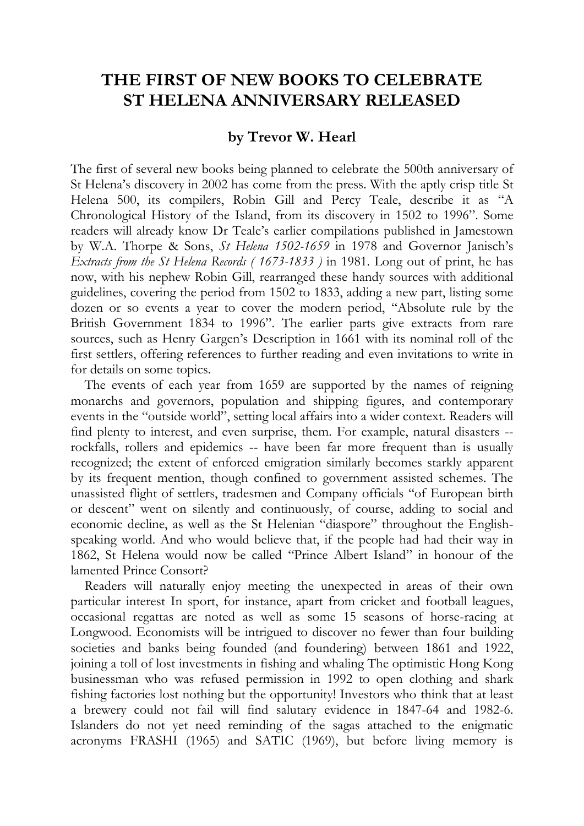## **THE FIRST OF NEW BOOKS TO CELEBRATE ST HELENA ANNIVERSARY RELEASED**

## **by Trevor W. Hearl**

The first of several new books being planned to celebrate the 500th anniversary of St Helena's discovery in 2002 has come from the press. With the aptly crisp title St Helena 500, its compilers, Robin Gill and Percy Teale, describe it as "A Chronological History of the Island, from its discovery in 1502 to 1996". Some readers will already know Dr Teale's earlier compilations published in Jamestown by W.A. Thorpe & Sons, *St Helena 1502-1659* in 1978 and Governor Janisch's *Extracts from the St Helena Records ( 1673-1833 )* in 1981. Long out of print, he has now, with his nephew Robin Gill, rearranged these handy sources with additional guidelines, covering the period from 1502 to 1833, adding a new part, listing some dozen or so events a year to cover the modern period, "Absolute rule by the British Government 1834 to 1996". The earlier parts give extracts from rare sources, such as Henry Gargen's Description in 1661 with its nominal roll of the first settlers, offering references to further reading and even invitations to write in for details on some topics.

The events of each year from 1659 are supported by the names of reigning monarchs and governors, population and shipping figures, and contemporary events in the "outside world", setting local affairs into a wider context. Readers will find plenty to interest, and even surprise, them. For example, natural disasters - rockfalls, rollers and epidemics -- have been far more frequent than is usually recognized; the extent of enforced emigration similarly becomes starkly apparent by its frequent mention, though confined to government assisted schemes. The unassisted flight of settlers, tradesmen and Company officials "of European birth or descent" went on silently and continuously, of course, adding to social and economic decline, as well as the St Helenian "diaspore" throughout the Englishspeaking world. And who would believe that, if the people had had their way in 1862, St Helena would now be called "Prince Albert Island" in honour of the lamented Prince Consort?

Readers will naturally enjoy meeting the unexpected in areas of their own particular interest In sport, for instance, apart from cricket and football leagues, occasional regattas are noted as well as some 15 seasons of horse-racing at Longwood. Economists will be intrigued to discover no fewer than four building societies and banks being founded (and foundering) between 1861 and 1922, joining a toll of lost investments in fishing and whaling The optimistic Hong Kong businessman who was refused permission in 1992 to open clothing and shark fishing factories lost nothing but the opportunity! Investors who think that at least a brewery could not fail will find salutary evidence in 1847-64 and 1982-6. Islanders do not yet need reminding of the sagas attached to the enigmatic acronyms FRASHI (1965) and SATIC (1969), but before living memory is